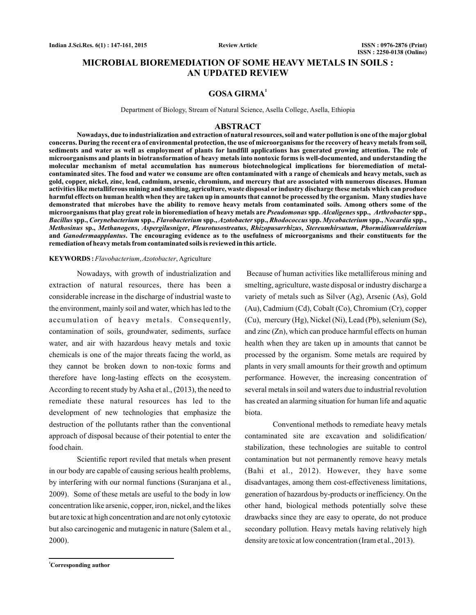**Review Article**

# **MICROBIAL BIOREMEDIATION OF SOME HEAVY METALS IN SOILS : AN UPDATED REVIEW**

# **GOSA GIRMA<sup>1</sup>**

Department of Biology, Stream of Natural Science, Asella College, Asella, Ethiopia

#### **ABSTRACT**

**Nowadays, due to industrialization and extraction of natural resources, soil and water pollution is one of the major global concerns. During the recent era of environmental protection, the use of microorganisms for the recovery of heavy metals from soil, sediments and water as well as employment of plants for landfill applications has generated growing attention. The role of microorganisms and plants in biotransformation of heavy metals into nontoxic forms is well-documented, and understanding the molecular mechanism of metal accumulation has numerous biotechnological implications for bioremediation of metalcontaminated sites. The food and water we consume are often contaminated with a range of chemicals and heavy metals, such as gold, copper, nickel, zinc, lead, cadmium, arsenic, chromium, and mercury that are associated with numerous diseases. Human activities like metalliferous mining and smelting, agriculture, waste disposal or industry discharge these metals which can produce harmful effects on human health when they are taken up in amounts that cannot be processed by the organism. Many studies have demonstrated that microbes have the ability to remove heavy metals from contaminated soils. Among others some of the** microorganisms that play great role in bioremediation of heavy metals are *Pseudomonas* spp. *Alcaligenes* spp., Arthrobacter spp., Bacillus spp., Corynebacterium spp., Flavobacterium spp., Azotobacter spp., Rhodococcus spp. Mycobacterium spp., Nocardia spp., **sp., , , , , ,** *Methosinus Methanogens Aspergilusniger Pleurotusostreatus Rhizopusarrhizus Stereumhirsutum Phormidiumvalderium* and Ganodermaapplantus. The encouraging evidence as to the usefulness of microorganisms and their constituents for the **remediation of heavy metals from contaminated soils is reviewed in this article.**

#### KEYWORDS: Flavobacterium, Azotobacter, Agriculture

Nowadays, with growth of industrialization and extraction of natural resources, there has been a considerable increase in the discharge of industrial waste to the environment, mainly soil and water, which has led to the accumulation of heavy metals. Consequently, contamination of soils, groundwater, sediments, surface water, and air with hazardous heavy metals and toxic chemicals is one of the major threats facing the world, as they cannot be broken down to non-toxic forms and therefore have long-lasting effects on the ecosystem. According to recent study by Asha et al., (2013), the need to remediate these natural resources has led to the development of new technologies that emphasize the destruction of the pollutants rather than the conventional approach of disposal because of their potential to enter the food chain.

Scientific report reviled that metals when present in our body are capable of causing serious health problems, by interfering with our normal functions (Suranjana et al., 2009). Some of these metals are useful to the body in low concentration like arsenic, copper, iron, nickel, and the likes but are toxic at high concentration and are not only cytotoxic but also carcinogenic and mutagenic in nature (Salem et al., 2000).

Because of human activities like metalliferous mining and smelting, agriculture, waste disposal or industry discharge a variety of metals such as Silver (Ag), Arsenic (As), Gold (Au), Cadmium (Cd), Cobalt (Co), Chromium (Cr), copper (Cu), mercury (Hg), Nickel (Ni), Lead (Pb), selenium (Se), and zinc (Zn), which can produce harmful effects on human health when they are taken up in amounts that cannot be processed by the organism. Some metals are required by plants in very small amounts for their growth and optimum performance. However, the increasing concentration of several metals in soil and waters due to industrial revolution has created an alarming situation for human life and aquatic biota.

Conventional methods to remediate heavy metals contaminated site are excavation and solidification/ stabilization, these technologies are suitable to control contamination but not permanently remove heavy metals (Bahi et al., 2012). However, they have some disadvantages, among them cost-effectiveness limitations, generation of hazardous by-products or inefficiency. On the other hand, biological methods potentially solve these drawbacks since they are easy to operate, do not produce secondary pollution. Heavy metals having relatively high density are toxic at low concentration (Iram et al., 2013).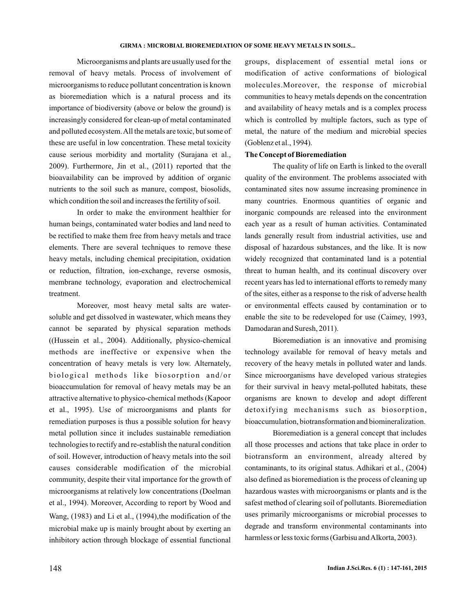Microorganisms and plants are usually used for the removal of heavy metals. Process of involvement of microorganisms to reduce pollutant concentration is known as bioremediation which is a natural process and its importance of biodiversity (above or below the ground) is increasingly considered for clean-up of metal contaminated and polluted ecosystem.All the metals are toxic, but some of these are useful in low concentration. These metal toxicity cause serious morbidity and mortality (Surajana et al., 2009). Furthermore, Jin et al., (2011) reported that the bioavailability can be improved by addition of organic nutrients to the soil such as manure, compost, biosolids, which condition the soil and increases the fertility of soil.

In order to make the environment healthier for human beings, contaminated water bodies and land need to be rectified to make them free from heavy metals and trace elements. There are several techniques to remove these heavy metals, including chemical precipitation, oxidation or reduction, filtration, ion-exchange, reverse osmosis, membrane technology, evaporation and electrochemical treatment.

Moreover, most heavy metal salts are watersoluble and get dissolved in wastewater, which means they cannot be separated by physical separation methods ((Hussein et al., 2004). Additionally, physico-chemical methods are ineffective or expensive when the concentration of heavy metals is very low. Alternately, biological methods like biosorption and/or bioaccumulation for removal of heavy metals may be an attractive alternative to physico-chemical methods (Kapoor et al., 1995). Use of microorganisms and plants for remediation purposes is thus a possible solution for heavy metal pollution since it includes sustainable remediation technologies to rectify and re-establish the natural condition of soil. However, introduction of heavy metals into the soil causes considerable modification of the microbial community, despite their vital importance for the growth of microorganisms at relatively low concentrations (Doelman et al., 1994). Moreover, According to report by Wood and Wang,  $(1983)$  and Li et al.,  $(1994)$ , the modification of the microbial make up is mainly brought about by exerting an inhibitory action through blockage of essential functional

groups, displacement of essential metal ions or modification of active conformations of biological molecules.Moreover, the response of microbial communities to heavy metals depends on the concentration and availability of heavy metals and is a complex process which is controlled by multiple factors, such as type of metal, the nature of the medium and microbial species (Goblenz et al., 1994).

### **The Concept of Bioremediation**

The quality of life on Earth is linked to the overall quality of the environment. The problems associated with contaminated sites now assume increasing prominence in many countries. Enormous quantities of organic and inorganic compounds are released into the environment each year as a result of human activities. Contaminated lands generally result from industrial activities, use and disposal of hazardous substances, and the like. It is now widely recognized that contaminated land is a potential threat to human health, and its continual discovery over recent years has led to international efforts to remedy many of the sites, either as a response to the risk of adverse health or environmental effects caused by contamination or to enable the site to be redeveloped for use (Caimey, 1993, Damodaran and Suresh, 2011).

Bioremediation is an innovative and promising technology available for removal of heavy metals and recovery of the heavy metals in polluted water and lands. Since microorganisms have developed various strategies for their survival in heavy metal-polluted habitats, these organisms are known to develop and adopt different detoxifying mechanisms such as biosorption, bioaccumulation, biotransformation and biomineralization.

Bioremediation is a general concept that includes all those processes and actions that take place in order to biotransform an environment, already altered by contaminants, to its original status. Adhikari et al., (2004) also defined as bioremediation is the process of cleaning up hazardous wastes with microorganisms or plants and is the safest method of clearing soil of pollutants. Bioremediation uses primarily microorganisms or microbial processes to degrade and transform environmental contaminants into harmless or less toxic forms (Garbisu andAlkorta, 2003).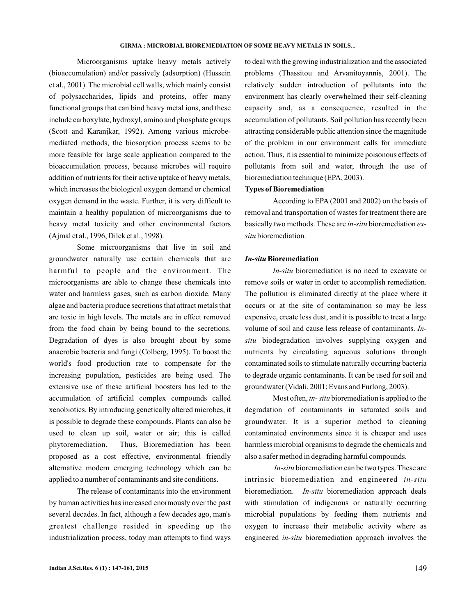Microorganisms uptake heavy metals actively (bioaccumulation) and/or passively (adsorption) (Hussein et al., 2001). The microbial cell walls, which mainly consist of polysaccharides, lipids and proteins, offer many functional groups that can bind heavy metal ions, and these include carboxylate, hydroxyl, amino and phosphate groups (Scott and Karanjkar, 1992). Among various microbemediated methods, the biosorption process seems to be more feasible for large scale application compared to the bioaccumulation process, because microbes will require addition of nutrients for their active uptake of heavy metals, which increases the biological oxygen demand or chemical oxygen demand in the waste. Further, it is very difficult to maintain a healthy population of microorganisms due to heavy metal toxicity and other environmental factors (Ajmal et al., 1996, Dilek et al., 1998).

Some microorganisms that live in soil and groundwater naturally use certain chemicals that are harmful to people and the environment. The microorganisms are able to change these chemicals into water and harmless gases, such as carbon dioxide. Many algae and bacteria produce secretions that attract metals that are toxic in high levels. The metals are in effect removed from the food chain by being bound to the secretions. Degradation of dyes is also brought about by some anaerobic bacteria and fungi (Colberg, 1995). To boost the world's food production rate to compensate for the increasing population, pesticides are being used. The extensive use of these artificial boosters has led to the accumulation of artificial complex compounds called xenobiotics. By introducing genetically altered microbes, it is possible to degrade these compounds. Plants can also be used to clean up soil, water or air; this is called phytoremediation. Thus, Bioremediation has been proposed as a cost effective, environmental friendly alternative modern emerging technology which can be applied to a number of contaminants and site conditions.

The release of contaminants into the environment by human activities has increased enormously over the past several decades. In fact, although a few decades ago, man's greatest challenge resided in speeding up the industrialization process, today man attempts to find ways to deal with the growing industrialization and the associated problems (Thassitou and Arvanitoyannis, 2001). The relatively sudden introduction of pollutants into the environment has clearly overwhelmed their self-cleaning capacity and, as a consequence, resulted in the accumulation of pollutants. Soil pollution has recently been attracting considerable public attention since the magnitude of the problem in our environment calls for immediate action. Thus, it is essential to minimize poisonous effects of pollutants from soil and water, through the use of bioremediation technique (EPA, 2003).

## **Types of Bioremediation**

According to EPA (2001 and 2002) on the basis of removal and transportation of wastes for treatment there are basically two methods. These are *in-situ* bioremediation exbioremediation. *situ*

### **Bioremediation** *In-situ*

bioremediation is no need to excavate or *In-situ* remove soils or water in order to accomplish remediation. The pollution is eliminated directly at the place where it occurs or at the site of contamination so may be less expensive, create less dust, and it is possible to treat a large volume of soil and cause less release of contaminants. *In*biodegradation involves supplying oxygen and *situ* nutrients by circulating aqueous solutions through contaminated soils to stimulate naturally occurring bacteria to degrade organic contaminants. It can be used for soil and groundwater (Vidali, 2001; Evans and Furlong, 2003).

Most often, *in-situ* bioremediation is applied to the degradation of contaminants in saturated soils and groundwater. It is a superior method to cleaning contaminated environments since it is cheaper and uses harmless microbial organisms to degrade the chemicals and also a safer method in degrading harmful compounds.

In-situ bioremediation can be two types. These are intrinsic bioremediation and engineered *in-situ* bioremediation. *In-situ* bioremediation approach deals with stimulation of indigenous or naturally occurring microbial populations by feeding them nutrients and oxygen to increase their metabolic activity where as engineered *in-situ* bioremediation approach involves the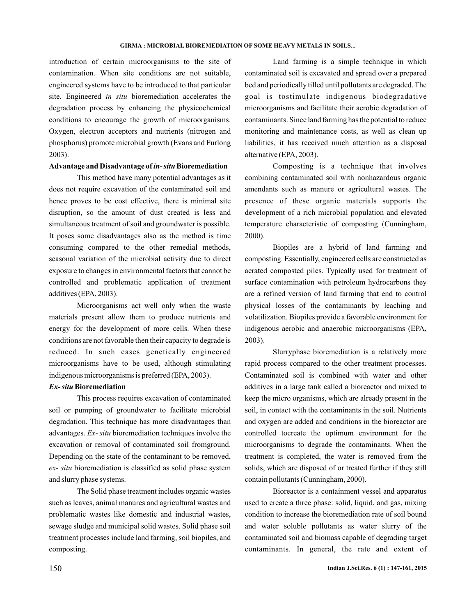introduction of certain microorganisms to the site of contamination. When site conditions are not suitable, engineered systems have to be introduced to that particular site. Engineered in situ bioremediation accelerates the degradation process by enhancing the physicochemical conditions to encourage the growth of microorganisms. Oxygen, electron acceptors and nutrients (nitrogen and phosphorus) promote microbial growth (Evans and Furlong 2003).

### Advantage and Disadvantage of *in- situ* Bioremediation

This method have many potential advantages as it does not require excavation of the contaminated soil and hence proves to be cost effective, there is minimal site disruption, so the amount of dust created is less and simultaneous treatment of soil and groundwater is possible. It poses some disadvantages also as the method is time consuming compared to the other remedial methods, seasonal variation of the microbial activity due to direct exposure to changes in environmental factors that cannot be controlled and problematic application of treatment additives (EPA, 2003).

Microorganisms act well only when the waste materials present allow them to produce nutrients and energy for the development of more cells. When these conditions are not favorable then their capacity to degrade is reduced. In such cases genetically engineered microorganisms have to be used, although stimulating indigenous microorganisms is preferred (EPA, 2003).

### **Bioremediation** *Ex- situ*

This process requires excavation of contaminated soil or pumping of groundwater to facilitate microbial degradation. This technique has more disadvantages than advantages. Ex- situ bioremediation techniques involve the excavation or removal of contaminated soil fromground. Depending on the state of the contaminant to be removed, bioremediation is classified as solid phase system *ex- situ* and slurry phase systems.

The Solid phase treatment includes organic wastes such as leaves, animal manures and agricultural wastes and problematic wastes like domestic and industrial wastes, sewage sludge and municipal solid wastes. Solid phase soil treatment processes include land farming, soil biopiles, and composting.

Land farming is a simple technique in which contaminated soil is excavated and spread over a prepared bed and periodically tilled until pollutants are degraded. The goal is tostimulate indigenous biodegradative microorganisms and facilitate their aerobic degradation of contaminants. Since land farming has the potential to reduce monitoring and maintenance costs, as well as clean up liabilities, it has received much attention as a disposal alternative (EPA, 2003).

Composting is a technique that involves combining contaminated soil with nonhazardous organic amendants such as manure or agricultural wastes. The presence of these organic materials supports the development of a rich microbial population and elevated temperature characteristic of composting (Cunningham, 2000).

Biopiles are a hybrid of land farming and composting. Essentially, engineered cells are constructed as aerated composted piles. Typically used for treatment of surface contamination with petroleum hydrocarbons they are a refined version of land farming that end to control physical losses of the contaminants by leaching and volatilization. Biopiles provide a favorable environment for indigenous aerobic and anaerobic microorganisms (EPA, 2003).

Slurryphase bioremediation is a relatively more rapid process compared to the other treatment processes. Contaminated soil is combined with water and other additives in a large tank called a bioreactor and mixed to keep the micro organisms, which are already present in the soil, in contact with the contaminants in the soil. Nutrients and oxygen are added and conditions in the bioreactor are controlled tocreate the optimum environment for the microorganisms to degrade the contaminants. When the treatment is completed, the water is removed from the solids, which are disposed of or treated further if they still contain pollutants (Cunningham, 2000).

Bioreactor is a containment vessel and apparatus used to create a three phase: solid, liquid, and gas, mixing condition to increase the bioremediation rate of soil bound and water soluble pollutants as water slurry of the contaminated soil and biomass capable of degrading target contaminants. In general, the rate and extent of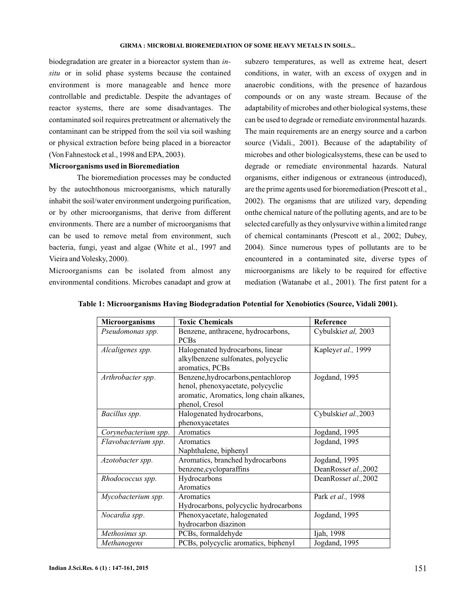biodegradation are greater in a bioreactor system than *in*situ or in solid phase systems because the contained environment is more manageable and hence more controllable and predictable. Despite the advantages of reactor systems, there are some disadvantages. The contaminated soil requires pretreatment or alternatively the contaminant can be stripped from the soil via soil washing or physical extraction before being placed in a bioreactor (Von Fahnestock et al., 1998 and EPA, 2003).

## **Microorganisms used in Bioremediation**

The bioremediation processes may be conducted by the autochthonous microorganisms, which naturally inhabit the soil/water environment undergoing purification, or by other microorganisms, that derive from different environments. There are a number of microorganisms that can be used to remove metal from environment, such bacteria, fungi, yeast and algae (White et al., 1997 and Vieira and Volesky, 2000).

Microorganisms can be isolated from almost any environmental conditions. Microbes canadapt and grow at subzero temperatures, as well as extreme heat, desert conditions, in water, with an excess of oxygen and in anaerobic conditions, with the presence of hazardous compounds or on any waste stream. Because of the adaptability of microbes and other biological systems, these can be used to degrade or remediate environmental hazards. The main requirements are an energy source and a carbon source (Vidali., 2001). Because of the adaptability of microbes and other biologicalsystems, these can be used to degrade or remediate environmental hazards. Natural organisms, either indigenous or extraneous (introduced), are the prime agents used for bioremediation (Prescott et al., 2002). The organisms that are utilized vary, depending onthe chemical nature of the polluting agents, and are to be selected carefully as they onlysurvive within a limited range of chemical contaminants (Prescott et al., 2002; Dubey, 2004). Since numerous types of pollutants are to be encountered in a contaminated site, diverse types of microorganisms are likely to be required for effective mediation (Watanabe et al., 2001). The first patent for a

| <b>Microorganisms</b> | <b>Toxic Chemicals</b>                                | Reference            |
|-----------------------|-------------------------------------------------------|----------------------|
| Pseudomonas spp.      | Benzene, anthracene, hydrocarbons,                    | Cybulskiet al, 2003  |
|                       | <b>PCBs</b>                                           |                      |
| Alcaligenes spp.      | Halogenated hydrocarbons, linear                      | Kapleyet al., 1999   |
|                       | alkylbenzene sulfonates, polycyclic                   |                      |
|                       | aromatics, PCBs                                       |                      |
| Arthrobacter spp.     | Benzene, hydrocarbons, pentachlorop                   | Jogdand, 1995        |
|                       | henol, phenoxyacetate, polycyclic                     |                      |
|                       | aromatic, Aromatics, long chain alkanes,              |                      |
|                       | phenol, Cresol                                        |                      |
| Bacillus spp.         | Halogenated hydrocarbons,                             | Cybulskiet al., 2003 |
|                       | phenoxyacetates                                       |                      |
| Corynebacterium spp.  | Aromatics                                             | Jogdand, 1995        |
| Flavobacterium spp.   | Aromatics                                             | Jogdand, 1995        |
|                       | Naphthalene, biphenyl                                 |                      |
| Azotobacter spp.      | Aromatics, branched hydrocarbons                      | Jogdand, 1995        |
|                       | benzene, cycloparaffins                               | DeanRosset al., 2002 |
| Rhodococcus spp.      | Hydrocarbons                                          | DeanRosset al., 2002 |
|                       | Aromatics                                             |                      |
| Mycobacterium spp.    | Aromatics                                             | Park et al., 1998    |
|                       | Hydrocarbons, polycyclic hydrocarbons                 |                      |
| Nocardia spp.         | Phenoxyacetate, halogenated                           | Jogdand, 1995        |
|                       | hydrocarbon diazinon                                  |                      |
| Methosinus sp.        | PCBs, formaldehyde                                    | Ijah, 1998           |
| Methanogens           | PCBs, polycyclic aromatics, biphenyl<br>Jogdand, 1995 |                      |

**Table 1: Microorganisms Having Biodegradation Potential for Xenobiotics (Source, Vidali 2001).**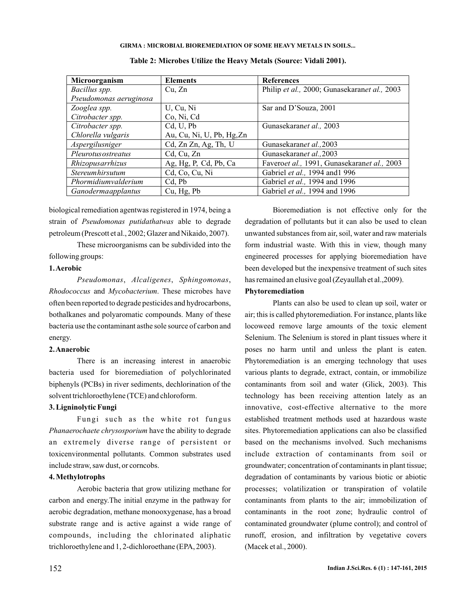| Microorganism          | <b>Elements</b>           | <b>References</b>                            |
|------------------------|---------------------------|----------------------------------------------|
| Bacillus spp.          | Cu, Zn                    | Philip et al., 2000; Gunasekaranet al., 2003 |
| Pseudomonas aeruginosa |                           |                                              |
| Zooglea spp.           | U, Cu, Ni                 | Sar and D'Souza, 2001                        |
| Citrobacter spp.       | Co, Ni, Cd                |                                              |
| Citrobacter spp.       | Cd, U, Pb                 | Gunasekaranet al., 2003                      |
| Chlorella vulgaris     | Au, Cu, Ni, U, Pb, Hg, Zn |                                              |
| Aspergilusniger        | Cd, Zn Zn, Ag, Th, U      | Gunasekaranet al., 2003                      |
| Pleurotus ostreatus    | Cd, Cu, Zn                | Gunasekaranet al., 2003                      |
| Rhizopusarrhizus       | Ag, Hg, P, Cd, Pb, Ca     | Faveroet al., 1991, Gunasekaranet al., 2003  |
| Stereumhirsutum        | Cd, Co, Cu, Ni            | Gabriel et al., 1994 and 1996                |
| Phormidiumvalderium    | Cd, Pb                    | Gabriel et al., 1994 and 1996                |
| Ganodermaapplantus     | Cu, Hg, Pb                | Gabriel <i>et al.</i> , 1994 and 1996        |

**Table 2: Microbes Utilize the Heavy Metals (Source: Vidali 2001).**

biological remediation agentwas registered in 1974, being a strain of Pseudomonas putidathatwas able to degrade petroleum (Prescott et al., 2002; Glazer and Nikaido, 2007).

These microorganisms can be subdivided into the following groups:

## **1.Aerobic**

Pseudomonas, Alcaligenes, Sphingomonas, Rhodococcus and Mycobacterium. These microbes have often been reported to degrade pesticides and hydrocarbons, bothalkanes and polyaromatic compounds. Many of these bacteria use the contaminant asthe sole source of carbon and energy.

#### **2.Anaerobic**

There is an increasing interest in anaerobic bacteria used for bioremediation of polychlorinated biphenyls (PCBs) in river sediments, dechlorination of the solvent trichloroethylene (TCE) and chloroform.

### **3. Ligninolytic Fungi**

Fungi such as the white rot fungus Phanaerochaete chrysosporium have the ability to degrade an extremely diverse range of persistent or toxicenvironmental pollutants. Common substrates used include straw, saw dust, or corncobs.

### **4. Methylotrophs**

Aerobic bacteria that grow utilizing methane for carbon and energy.The initial enzyme in the pathway for aerobic degradation, methane monooxygenase, has a broad substrate range and is active against a wide range of compounds, including the chlorinated aliphatic trichloroethylene and 1, 2-dichloroethane (EPA, 2003).

Bioremediation is not effective only for the degradation of pollutants but it can also be used to clean unwanted substances from air, soil, water and raw materials form industrial waste. With this in view, though many engineered processes for applying bioremediation have been developed but the inexpensive treatment of such sites has remained an elusive goal (Zeyaullah et al.,2009).

### **Phytoremediation**

Plants can also be used to clean up soil, water or air; this is called phytoremediation. For instance, plants like locoweed remove large amounts of the toxic element Selenium. The Selenium is stored in plant tissues where it poses no harm until and unless the plant is eaten. Phytoremediation is an emerging technology that uses various plants to degrade, extract, contain, or immobilize contaminants from soil and water (Glick, 2003). This technology has been receiving attention lately as an innovative, cost-effective alternative to the more established treatment methods used at hazardous waste sites. Phytoremediation applications can also be classified based on the mechanisms involved. Such mechanisms include extraction of contaminants from soil or groundwater; concentration of contaminants in plant tissue; degradation of contaminants by various biotic or abiotic processes; volatilization or transpiration of volatile contaminants from plants to the air; immobilization of contaminants in the root zone; hydraulic control of contaminated groundwater (plume control); and control of runoff, erosion, and infiltration by vegetative covers (Macek et al., 2000).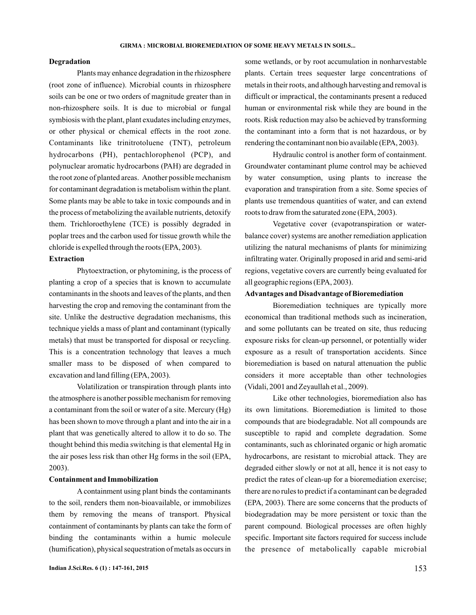### **Degradation**

Plants may enhance degradation in the rhizosphere (root zone of influence). Microbial counts in rhizosphere soils can be one or two orders of magnitude greater than in non-rhizosphere soils. It is due to microbial or fungal symbiosis with the plant, plant exudates including enzymes, or other physical or chemical effects in the root zone. Contaminants like trinitrotoluene (TNT), petroleum hydrocarbons (PH), pentachlorophenol (PCP), and polynuclear aromatic hydrocarbons (PAH) are degraded in the root zone of planted areas. Another possible mechanism for contaminant degradation is metabolism within the plant. Some plants may be able to take in toxic compounds and in the process of metabolizing the available nutrients, detoxify them. Trichloroethylene (TCE) is possibly degraded in poplar trees and the carbon used for tissue growth while the chloride is expelled through the roots (EPA, 2003).

### **Extraction**

Phytoextraction, or phytomining, is the process of planting a crop of a species that is known to accumulate contaminants in the shoots and leaves of the plants, and then harvesting the crop and removing the contaminant from the site. Unlike the destructive degradation mechanisms, this technique yields a mass of plant and contaminant (typically metals) that must be transported for disposal or recycling. This is a concentration technology that leaves a much smaller mass to be disposed of when compared to excavation and land filling (EPA, 2003).

Volatilization or transpiration through plants into the atmosphere is another possible mechanism for removing a contaminant from the soil or water of a site. Mercury (Hg) has been shown to move through a plant and into the air in a plant that was genetically altered to allow it to do so. The thought behind this media switching is that elemental Hg in the air poses less risk than other Hg forms in the soil (EPA, 2003).

### **Containment and Immobilization**

A containment using plant binds the contaminants to the soil, renders them non-bioavailable, or immobilizes them by removing the means of transport. Physical containment of contaminants by plants can take the form of binding the contaminants within a humic molecule (humification), physical sequestration of metals as occurs in some wetlands, or by root accumulation in nonharvestable plants. Certain trees sequester large concentrations of metals in their roots, and although harvesting and removal is difficult or impractical, the contaminants present a reduced human or environmental risk while they are bound in the roots. Risk reduction may also be achieved by transforming the contaminant into a form that is not hazardous, or by rendering the contaminant non bio available (EPA, 2003).

Hydraulic control is another form of containment. Groundwater contaminant plume control may be achieved by water consumption, using plants to increase the evaporation and transpiration from a site. Some species of plants use tremendous quantities of water, and can extend roots to draw from the saturated zone (EPA, 2003).

Vegetative cover (evapotranspiration or waterbalance cover) systems are another remediation application utilizing the natural mechanisms of plants for minimizing infiltrating water. Originally proposed in arid and semi-arid regions, vegetative covers are currently being evaluated for all geographic regions (EPA, 2003).

## **Advantages and Disadvantage of Bioremediation**

Bioremediation techniques are typically more economical than traditional methods such as incineration, and some pollutants can be treated on site, thus reducing exposure risks for clean-up personnel, or potentially wider exposure as a result of transportation accidents. Since bioremediation is based on natural attenuation the public considers it more acceptable than other technologies (Vidali, 2001 and Zeyaullah et al., 2009).

Like other technologies, bioremediation also has its own limitations. Bioremediation is limited to those compounds that are biodegradable. Not all compounds are susceptible to rapid and complete degradation. Some contaminants, such as chlorinated organic or high aromatic hydrocarbons, are resistant to microbial attack. They are degraded either slowly or not at all, hence it is not easy to predict the rates of clean-up for a bioremediation exercise; there are no rules to predict if a contaminant can be degraded (EPA, 2003). There are some concerns that the products of biodegradation may be more persistent or toxic than the parent compound. Biological processes are often highly specific. Important site factors required for success include the presence of metabolically capable microbial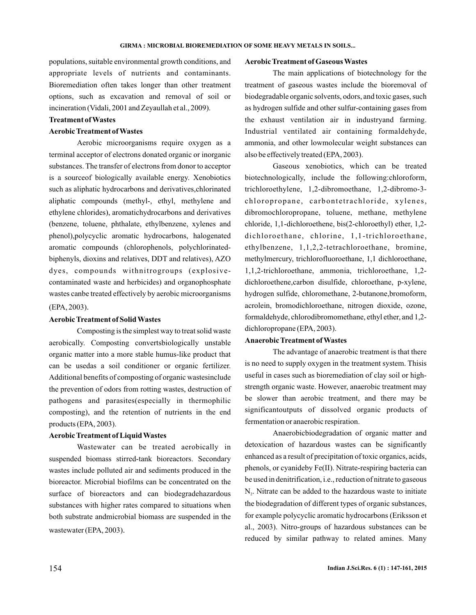populations, suitable environmental growth conditions, and appropriate levels of nutrients and contaminants. Bioremediation often takes longer than other treatment options, such as excavation and removal of soil or incineration (Vidali, 2001 and Zeyaullah et al., 2009).

## **Treatment of Wastes**

### **Aerobic Treatment of Wastes**

Aerobic microorganisms require oxygen as a terminal acceptor of electrons donated organic or inorganic substances. The transfer of electrons from donor to acceptor is a sourceof biologically available energy. Xenobiotics such as aliphatic hydrocarbons and derivatives,chlorinated aliphatic compounds (methyl-, ethyl, methylene and ethylene chlorides), aromatichydrocarbons and derivatives (benzene, toluene, phthalate, ethylbenzene, xylenes and phenol),polycyclic aromatic hydrocarbons, halogenated aromatic compounds (chlorophenols, polychlorinatedbiphenyls, dioxins and relatives, DDT and relatives), AZO dyes, compounds withnitrogroups (explosivecontaminated waste and herbicides) and organophosphate wastes canbe treated effectively by aerobic microorganisms (EPA, 2003) .

#### **Aerobic Treatment of Solid Wastes**

Composting is the simplest way to treat solid waste aerobically. Composting convertsbiologically unstable organic matter into a more stable humus-like product that can be usedas a soil conditioner or organic fertilizer. Additional benefits of composting of organic wastesinclude the prevention of odors from rotting wastes, destruction of pathogens and parasites(especially in thermophilic composting), and the retention of nutrients in the end products (EPA, 2003).

## **Aerobic Treatment of Liquid Wastes**

Wastewater can be treated aerobically in suspended biomass stirred-tank bioreactors. Secondary wastes include polluted air and sediments produced in the bioreactor. Microbial biofilms can be concentrated on the surface of bioreactors and can biodegradehazardous substances with higher rates compared to situations when both substrate andmicrobial biomass are suspended in the wastewater (EPA, 2003) .

### **Aerobic Treatment of Gaseous Wastes**

The main applications of biotechnology for the treatment of gaseous wastes include the bioremoval of biodegradable organic solvents, odors, and toxic gases, such as hydrogen sulfide and other sulfur-containing gases from the exhaust ventilation air in industryand farming. Industrial ventilated air containing formaldehyde, ammonia, and other lowmolecular weight substances can also be effectively treated (EPA, 2003).

Gaseous xenobiotics, which can be treated biotechnologically, include the following:chloroform, trichloroethylene, 1,2-dibromoethane, 1,2-dibromo-3 chloropropane, carbontetrachloride, xylenes, dibromochloropropane, toluene, methane, methylene chloride, 1,1-dichloroethene, bis(2-chloroethyl) ether, 1,2 dichloroethane, chlorine, 1,1-trichloroethane, ethylbenzene, 1,1,2,2-tetrachloroethane, bromine, methylmercury, trichlorofluoroethane, 1,1 dichloroethane, 1,1,2-trichloroethane, ammonia, trichloroethane, 1,2 dichloroethene,carbon disulfide, chloroethane, p-xylene, hydrogen sulfide, chloromethane, 2-butanone,bromoform, acrolein, bromodichloroethane, nitrogen dioxide, ozone, formaldehyde, chlorodibromomethane, ethyl ether, and 1,2 dichloropropane (EPA, 2003).

#### **Anaerobic Treatment of Wastes**

The advantage of anaerobic treatment is that there is no need to supply oxygen in the treatment system. Thisis useful in cases such as bioremediation of clay soil or highstrength organic waste. However, anaerobic treatment may be slower than aerobic treatment, and there may be significantoutputs of dissolved organic products of fermentation or anaerobic respiration.

Anaerobicbiodegradation of organic matter and detoxication of hazardous wastes can be significantly enhanced as a result of precipitation of toxic organics, acids, phenols, or cyanideby Fe(II). Nitrate-respiring bacteria can be used in denitrification, i.e., reduction of nitrate to gaseous  $N<sub>2</sub>$ . Nitrate can be added to the hazardous waste to initiate the biodegradation of different types of organic substances, for example polycyclic aromatic hydrocarbons (Eriksson et al., 2003). Nitro-groups of hazardous substances can be reduced by similar pathway to related amines. Many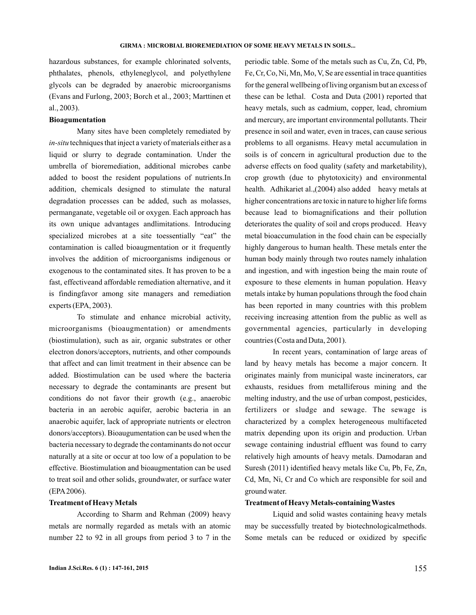hazardous substances, for example chlorinated solvents, phthalates, phenols, ethyleneglycol, and polyethylene glycols can be degraded by anaerobic microorganisms (Evans and Furlong, 2003; Borch et al., 2003; Marttinen et al., 2003).

## **Bioagumentation**

Many sites have been completely remediated by *in-situ* techniques that inject a variety of materials either as a liquid or slurry to degrade contamination. Under the umbrella of bioremediation, additional microbes canbe added to boost the resident populations of nutrients.In addition, chemicals designed to stimulate the natural degradation processes can be added, such as molasses, permanganate, vegetable oil or oxygen. Each approach has its own unique advantages andlimitations. Introducing specialized microbes at a site toessentially "eat" the contamination is called bioaugmentation or it frequently involves the addition of microorganisms indigenous or exogenous to the contaminated sites. It has proven to be a fast, effectiveand affordable remediation alternative, and it is findingfavor among site managers and remediation experts (EPA, 2003).

To stimulate and enhance microbial activity, microorganisms (bioaugmentation) or amendments (biostimulation), such as air, organic substrates or other electron donors/acceptors, nutrients, and other compounds that affect and can limit treatment in their absence can be added. Biostimulation can be used where the bacteria necessary to degrade the contaminants are present but conditions do not favor their growth (e.g., anaerobic bacteria in an aerobic aquifer, aerobic bacteria in an anaerobic aquifer, lack of appropriate nutrients or electron donors/acceptors). Bioaugumentation can be used when the bacteria necessary to degrade the contaminants do not occur naturally at a site or occur at too low of a population to be effective. Biostimulation and bioaugmentation can be used to treat soil and other solids, groundwater, or surface water (EPA2006).

## **Treatment of Heavy Metals**

According to Sharm and Rehman (2009) heavy metals are normally regarded as metals with an atomic number 22 to 92 in all groups from period 3 to 7 in the periodic table. Some of the metals such as Cu, Zn, Cd, Pb, Fe, Cr, Co, Ni, Mn, Mo, V, Se are essential in trace quantities for the general wellbeing of living organism but an excess of these can be lethal. Costa and Duta (2001) reported that heavy metals, such as cadmium, copper, lead, chromium and mercury, are important environmental pollutants. Their presence in soil and water, even in traces, can cause serious problems to all organisms. Heavy metal accumulation in soils is of concern in agricultural production due to the adverse effects on food quality (safety and marketability), crop growth (due to phytotoxicity) and environmental health. Adhikariet al.,(2004) also added heavy metals at higher concentrations are toxic in nature to higher life forms because lead to biomagnifications and their pollution deteriorates the quality of soil and crops produced. Heavy metal bioaccumulation in the food chain can be especially highly dangerous to human health. These metals enter the human body mainly through two routes namely inhalation and ingestion, and with ingestion being the main route of exposure to these elements in human population. Heavy metals intake by human populations through the food chain has been reported in many countries with this problem receiving increasing attention from the public as well as governmental agencies, particularly in developing countries (Costa and Duta, 2001).

In recent years, contamination of large areas of land by heavy metals has become a major concern. It originates mainly from municipal waste incinerators, car exhausts, residues from metalliferous mining and the melting industry, and the use of urban compost, pesticides, fertilizers or sludge and sewage. The sewage is characterized by a complex heterogeneous multifaceted matrix depending upon its origin and production. Urban sewage containing industrial effluent was found to carry relatively high amounts of heavy metals. Damodaran and Suresh (2011) identified heavy metals like Cu, Pb, Fe, Zn, Cd, Mn, Ni, Cr and Co which are responsible for soil and ground water.

## **Treatment of Heavy Metals-containing Wastes**

Liquid and solid wastes containing heavy metals may be successfully treated by biotechnologicalmethods. Some metals can be reduced or oxidized by specific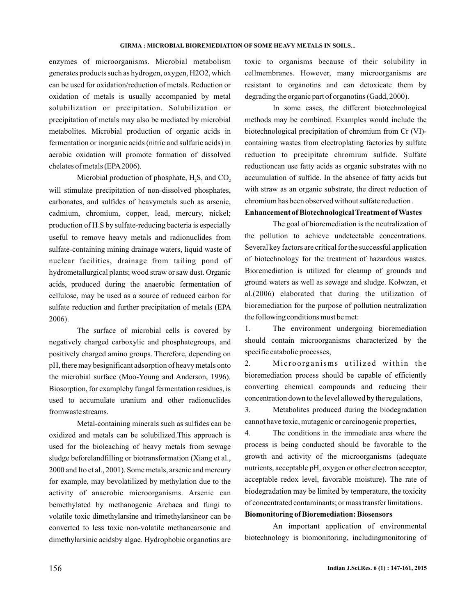enzymes of microorganisms. Microbial metabolism generates products such as hydrogen, oxygen, H2O2, which can be used for oxidation/reduction of metals. Reduction or oxidation of metals is usually accompanied by metal solubilization or precipitation. Solubilization or precipitation of metals may also be mediated by microbial metabolites. Microbial production of organic acids in fermentation or inorganic acids (nitric and sulfuric acids) in aerobic oxidation will promote formation of dissolved chelates of metals (EPA2006).

Microbial production of phosphate,  $H_2S$ , and  $CO_2$ will stimulate precipitation of non-dissolved phosphates, carbonates, and sulfides of heavymetals such as arsenic, cadmium, chromium, copper, lead, mercury, nickel; production of  $\rm H_2S$  by sulfate-reducing bacteria is especially useful to remove heavy metals and radionuclides from sulfate-containing mining drainage waters, liquid waste of nuclear facilities, drainage from tailing pond of hydrometallurgical plants; wood straw or saw dust. Organic acids, produced during the anaerobic fermentation of cellulose, may be used as a source of reduced carbon for sulfate reduction and further precipitation of metals (EPA 2006).

The surface of microbial cells is covered by negatively charged carboxylic and phosphategroups, and positively charged amino groups. Therefore, depending on pH, there may besignificant adsorption of heavy metals onto the microbial surface (Moo-Young and Anderson, 1996). Biosorption, for exampleby fungal fermentation residues, is used to accumulate uranium and other radionuclides fromwaste streams.

Metal-containing minerals such as sulfides can be oxidized and metals can be solubilized.This approach is used for the bioleaching of heavy metals from sewage sludge beforelandfilling or biotransformation (Xiang et al., 2000 and Ito et al., 2001). Some metals, arsenic and mercury for example, may bevolatilized by methylation due to the activity of anaerobic microorganisms. Arsenic can bemethylated by methanogenic Archaea and fungi to volatile toxic dimethylarsine and trimethylarsineor can be converted to less toxic non-volatile methanearsonic and dimethylarsinic acidsby algae. Hydrophobic organotins are

toxic to organisms because of their solubility in cellmembranes. However, many microorganisms are resistant to organotins and can detoxicate them by degrading the organic part of organotins (Gadd, 2000).

In some cases, the different biotechnological methods may be combined. Examples would include the biotechnological precipitation of chromium from Cr (VI) containing wastes from electroplating factories by sulfate reduction to precipitate chromium sulfide. Sulfate reductioncan use fatty acids as organic substrates with no accumulation of sulfide. In the absence of fatty acids but with straw as an organic substrate, the direct reduction of chromium has been observed without sulfate reduction .

## **Enhancement of Biotechnological Treatment of Wastes**

The goal of bioremediation is the neutralization of the pollution to achieve undetectable concentrations. Several key factors are critical for the successful application of biotechnology for the treatment of hazardous wastes. Bioremediation is utilized for cleanup of grounds and ground waters as well as sewage and sludge. Kołwzan, et al.(2006) elaborated that during the utilization of bioremediation for the purpose of pollution neutralization the following conditions must be met:

1. The environment undergoing bioremediation should contain microorganisms characterized by the specific catabolic processes,

2. Microorganisms utilized within the bioremediation process should be capable of efficiently converting chemical compounds and reducing their concentration down to the level allowed by the regulations,

3. Metabolites produced during the biodegradation cannot have toxic, mutagenic or carcinogenic properties,

4. The conditions in the immediate area where the process is being conducted should be favorable to the growth and activity of the microorganisms (adequate nutrients, acceptable pH, oxygen or other electron acceptor, acceptable redox level, favorable moisture). The rate of biodegradation may be limited by temperature, the toxicity of concentrated contaminants; or mass transfer limitations.

## **Biomonitoring of Bioremediation: Biosensors**

An important application of environmental biotechnology is biomonitoring, includingmonitoring of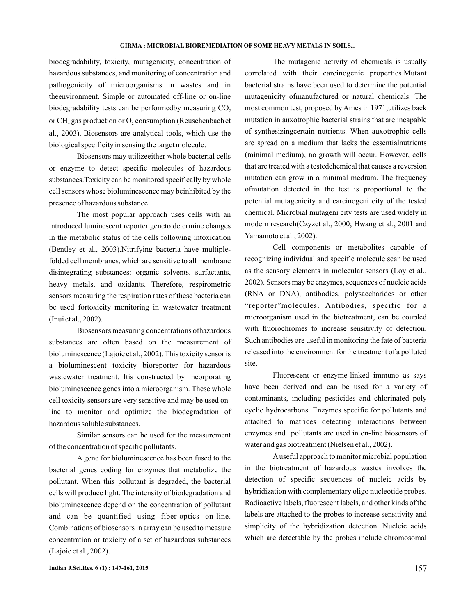biodegradability, toxicity, mutagenicity, concentration of hazardous substances, and monitoring of concentration and pathogenicity of microorganisms in wastes and in theenvironment. Simple or automated off-line or on-line biodegradability tests can be performedby measuring CO<sub>2</sub> or CH<sub>4</sub> gas production or  $O_2$  consumption (Reuschenbach et al., 2003). Biosensors are analytical tools, which use the biological specificity in sensing the target molecule.

Biosensors may utilizeeither whole bacterial cells or enzyme to detect specific molecules of hazardous substances.Toxicity can be monitored specifically by whole cell sensors whose bioluminescence may beinhibited by the presence of hazardous substance.

The most popular approach uses cells with an introduced luminescent reporter geneto determine changes in the metabolic status of the cells following intoxication (Bentley et al., 2003).Nitrifying bacteria have multiplefolded cell membranes, which are sensitive to all membrane disintegrating substances: organic solvents, surfactants, heavy metals, and oxidants. Therefore, respirometric sensors measuring the respiration rates of these bacteria can be used fortoxicity monitoring in wastewater treatment (Inui et al., 2002).

Biosensors measuring concentrations ofhazardous substances are often based on the measurement of bioluminescence (Lajoie et al., 2002). This toxicity sensor is a bioluminescent toxicity bioreporter for hazardous wastewater treatment. Itis constructed by incorporating bioluminescence genes into a microorganism. These whole cell toxicity sensors are very sensitive and may be used online to monitor and optimize the biodegradation of hazardous soluble substances.

Similar sensors can be used for the measurement of the concentration of specific pollutants.

A gene for bioluminescence has been fused to the bacterial genes coding for enzymes that metabolize the pollutant. When this pollutant is degraded, the bacterial cells will produce light. The intensity of biodegradation and bioluminescence depend on the concentration of pollutant and can be quantified using fiber-optics on-line. Combinations of biosensors in array can be used to measure concentration or toxicity of a set of hazardous substances (Lajoie et al., 2002).

The mutagenic activity of chemicals is usually correlated with their carcinogenic properties.Mutant bacterial strains have been used to determine the potential mutagenicity ofmanufactured or natural chemicals. The most common test, proposed by Ames in 1971,utilizes back mutation in auxotrophic bacterial strains that are incapable of synthesizingcertain nutrients. When auxotrophic cells are spread on a medium that lacks the essentialnutrients (minimal medium), no growth will occur. However, cells that are treated with a testedchemical that causes a reversion mutation can grow in a minimal medium. The frequency ofmutation detected in the test is proportional to the potential mutagenicity and carcinogeni city of the tested chemical. Microbial mutageni city tests are used widely in modern research(Czyzet al., 2000; Hwang et al., 2001 and Yamamoto et al., 2002).

Cell components or metabolites capable of recognizing individual and specific molecule scan be used as the sensory elements in molecular sensors (Loy et al., 2002). Sensors may be enzymes, sequences of nucleic acids (RNA or DNA), antibodies, polysaccharides or other "reporter"molecules. Antibodies, specific for a microorganism used in the biotreatment, can be coupled with fluorochromes to increase sensitivity of detection. Such antibodies are useful in monitoring the fate of bacteria released into the environment for the treatment of a polluted site.

Fluorescent or enzyme-linked immuno as says have been derived and can be used for a variety of contaminants, including pesticides and chlorinated poly cyclic hydrocarbons. Enzymes specific for pollutants and attached to matrices detecting interactions between enzymes and pollutants are used in on-line biosensors of water and gas biotreatment (Nielsen et al., 2002).

Auseful approach to monitor microbial population in the biotreatment of hazardous wastes involves the detection of specific sequences of nucleic acids by hybridization with complementary oligo nucleotide probes. Radioactive labels, fluorescent labels, and other kinds of the labels are attached to the probes to increase sensitivity and simplicity of the hybridization detection. Nucleic acids which are detectable by the probes include chromosomal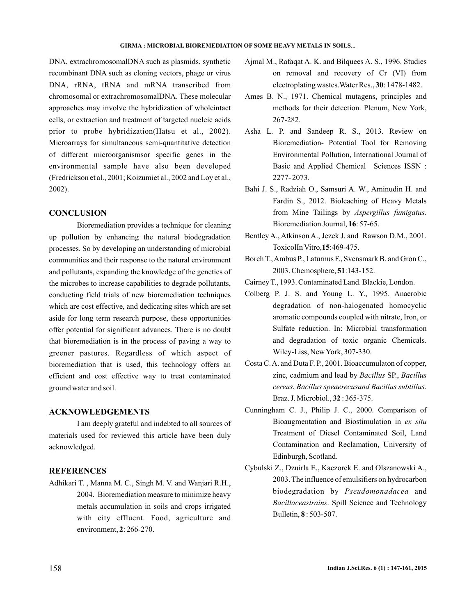DNA, extrachromosomalDNA such as plasmids, synthetic recombinant DNA such as cloning vectors, phage or virus DNA, rRNA, tRNA and mRNA transcribed from chromosomal or extrachromosomalDNA. These molecular approaches may involve the hybridization of wholeintact cells, or extraction and treatment of targeted nucleic acids prior to probe hybridization(Hatsu et al., 2002). Microarrays for simultaneous semi-quantitative detection of different microorganismsor specific genes in the environmental sample have also been developed (Fredrickson et al., 2001; Koizumiet al., 2002 and Loy et al., 2002).

## **CONCLUSION**

Bioremediation provides a technique for cleaning up pollution by enhancing the natural biodegradation processes. So by developing an understanding of microbial communities and their response to the natural environment and pollutants, expanding the knowledge of the genetics of the microbes to increase capabilities to degrade pollutants, conducting field trials of new bioremediation techniques which are cost effective, and dedicating sites which are set aside for long term research purpose, these opportunities offer potential for significant advances. There is no doubt that bioremediation is in the process of paving a way to greener pastures. Regardless of which aspect of bioremediation that is used, this technology offers an efficient and cost effective way to treat contaminated ground water and soil.

## **ACKNOWLEDGEMENTS**

I am deeply grateful and indebted to all sources of materials used for reviewed this article have been duly acknowledged.

## **REFERENCES**

Adhikari T. , Manna M. C., Singh M. V. and Wanjari R.H., 2004. Bioremediation measure to minimize heavy metals accumulation in soils and crops irrigated with city effluent. Food, agriculture and environment, 2: 266-270.

- Ajmal M., Rafaqat A. K. and Bilquees A. S., 1996. Studies on removal and recovery of Cr (VI) from electroplating wastes. Water Res., 30: 1478-1482.
- Ames B. N., 1971. Chemical mutagens, principles and methods for their detection. Plenum, New York, 267-282.
- Asha L. P. and Sandeep R. S., 2013. Review on Bioremediation- Potential Tool for Removing Environmental Pollution, International Journal of Basic and Applied Chemical Sciences ISSN : 2277- 2073.
- Bahi J. S., Radziah O., Samsuri A. W., Aminudin H. and Fardin S., 2012. Bioleaching of Heavy Metals from Mine Tailings by Aspergillus fumigatus. Bioremediation Journal, 16: 57-65.
- Bentley A., Atkinson A., Jezek J. and Rawson D.M., 2001. ToxicolIn Vitro, 15:469-475.
- Borch T.,Ambus P., Laturnus F., Svensmark B. and Gron C., 2003. Chemosphere, 51:143-152.
- Cairney T., 1993. Contaminated Land. Blackie, London.
- Colberg P. J. S. and Young L. Y., 1995. Anaerobic degradation of non-halogenated homocyclic aromatic compounds coupled with nitrate, Iron, or Sulfate reduction. In: Microbial transformation and degradation of toxic organic Chemicals. Wiley-Liss, NewYork, 307-330.
- Costa C.A. and Duta F. P., 2001. Bioaccumulaton of copper, zinc, cadmium and lead by Bacillus SP., Bacillus , . *cereus Bacillus speaerecusand Bacillus subtillus* Braz. J. Microbiol., **32**: 365-375.
- Cunningham C. J., Philip J. C., 2000. Comparison of Bioaugmentation and Biostimulation in *ex situ* Treatment of Diesel Contaminated Soil, Land Contamination and Reclamation, University of Edinburgh, Scotland.
- Cybulski Z., Dzuirla E., Kaczorek E. and Olszanowski A., 2003. The influence of emulsifiers on hydrocarbon biodegradation by Pseudomonadacea and . Spill Science and Technology *Bacillaceastrains* Bulletin, **8**: 503-507.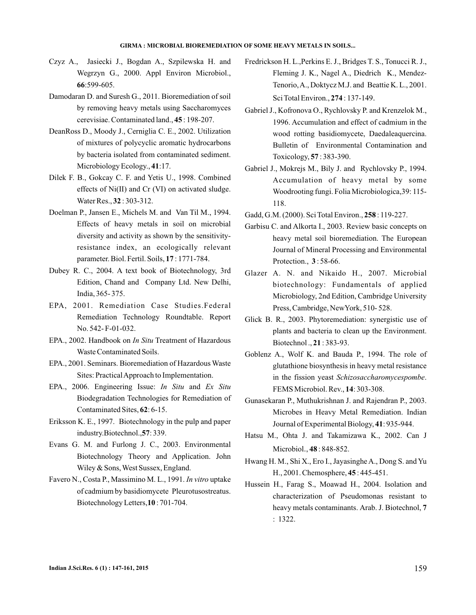- Czyz A., Jasiecki J., Bogdan A., Szpilewska H. and Wegrzyn G., 2000. Appl Environ Microbiol., :599-605. **66**
- Damodaran D. and Suresh G., 2011. Bioremediation of soil by removing heavy metals using Saccharomyces cerevisiae. Contaminated land., 45: 198-207.
- DeanRoss D., Moody J., Cerniglia C. E., 2002. Utilization of mixtures of polycyclic aromatic hydrocarbons by bacteria isolated from contaminated sediment. Microbiology Ecology., 41:17.
- Dilek F. B., Gokcay C. F. and Yetis U., 1998. Combined effects of Ni(II) and Cr (VI) on activated sludge. Water Res., **32**: 303-312.
- Doelman P., Jansen E., Michels M. and Van Til M., 1994. Effects of heavy metals in soil on microbial diversity and activity as shown by the sensitivityresistance index, an ecologically relevant parameter. Biol. Fertil. Soils, 17: 1771-784.
- Dubey R. C., 2004. A text book of Biotechnology, 3rd Edition, Chand and Company Ltd. New Delhi, India, 365- 375.
- EPA, 2001. Remediation Case Studies.Federal Remediation Technology Roundtable. Report No. 542- F-01-032.
- EPA., 2002. Handbook on *In Situ* Treatment of Hazardous Waste Contaminated Soils.
- EPA., 2001. Seminars. Bioremediation of Hazardous Waste Sites: PracticalApproach to Implementation.
- EPA., 2006. Engineering Issue: *In Situ* and *Ex Situ* Biodegradation Technologies for Remediation of Contaminated Sites, 62: 6-15.
- Eriksson K. E., 1997. Biotechnology in the pulp and paper industry.Biotechnol., 57: 339.
- Evans G. M. and Furlong J. C., 2003. Environmental Biotechnology Theory and Application. John Wiley & Sons, West Sussex, England.
- Favero N., Costa P., Massimino M. L., 1991. *In vitro* uptake of cadmium by basidiomycete Pleurotusostreatus. Biotechnology Letters, 10: 701-704.
- Fredrickson H. L.,Perkins E. J., Bridges T. S., Tonucci R. J., Fleming J. K., Nagel A., Diedrich K., Mendez-Tenorio,A., Doktycz M.J. and Beattie K. L., 2001. **Sci Total Environ., <b>274** : 137-149.
- Gabriel J., Kofronova O., Rychlovsky P. and Krenzelok M., 1996. Accumulation and effect of cadmium in the wood rotting basidiomycete, Daedaleaquercina. Bulletin of Environmental Contamination and Toxicology, **57**: 383-390.
- Gabriel J., Mokrejs M., Bily J. and Rychlovsky P., 1994. Accumulation of heavy metal by some Woodrooting fungi. Folia Microbiologica,39: 115- 118.
- Gadd, G.M. (2000). Sci Total Environ., 258 : 119-227.
- Garbisu C. and Alkorta I., 2003. Review basic concepts on heavy metal soil bioremediation. The European Journal of Mineral Processing and Environmental Protection.,  $3:58-66$ .
- Glazer A. N. and Nikaido H., 2007. Microbial biotechnology: Fundamentals of applied Microbiology, 2nd Edition, Cambridge University Press, Cambridge, NewYork, 510- 528.
- Glick B. R., 2003. Phytoremediation: synergistic use of plants and bacteria to clean up the Environment. Biotechnol., 21:383-93.
- Goblenz A., Wolf K. and Bauda P., 1994. The role of glutathione biosynthesis in heavy metal resistance in the fission yeast Schizosaccharomycespombe. FEMS Microbiol. Rev., **14**: 303-308.
- Gunasekaran P., Muthukrishnan J. and Rajendran P., 2003. Microbes in Heavy Metal Remediation. Indian Journal of Experimental Biology, 41: 935-944.
- Hatsu M., Ohta J. and Takamizawa K., 2002. Can J Microbiol., **48**: 848-852.
- Hwang H. M., Shi X., Ero I., Jayasinghe A., Dong S. and Yu H., 2001. Chemosphere, 45: 445-451.
- Hussein H., Farag S., Moawad H., 2004. Isolation and characterization of Pseudomonas resistant to heavy metals contaminants. Arab. J. Biotechnol, **7** : 1322.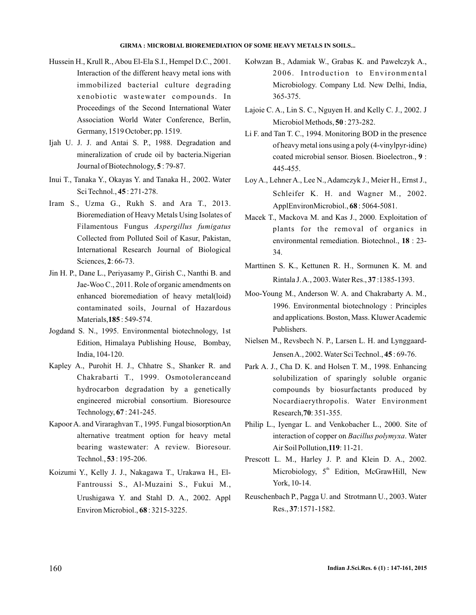- Hussein H., Krull R., Abou El-Ela S.I., Hempel D.C., 2001. Interaction of the different heavy metal ions with immobilized bacterial culture degrading xenobiotic wastewater compounds. In Proceedings of the Second International Water Association World Water Conference, Berlin, Germany, 1519 October; pp. 1519.
- Ijah U. J. J. and Antai S. P., 1988. Degradation and mineralization of crude oil by bacteria.Nigerian Journal of Biotechnology, 5:79-87.
- Inui T., Tanaka Y., Okayas Y. and Tanaka H., 2002. Water Sci Technol., 45: 271-278.
- Iram S., Uzma G., Rukh S. and Ara T., 2013. Bioremediation of Heavy Metals Using Isolates of Filamentous Fungus *Aspergillus fumigatus* Collected from Polluted Soil of Kasur, Pakistan, International Research Journal of Biological Sciences, 2:66-73.
- Jin H. P., Dane L., Periyasamy P., Girish C., Nanthi B. and Jae-Woo C., 2011. Role of organic amendments on enhanced bioremediation of heavy metal(loid) contaminated soils, Journal of Hazardous Materials, **185**: 549-574.
- Jogdand S. N., 1995. Environmental biotechnology, 1st Edition, Himalaya Publishing House, Bombay, India, 104-120.
- Kapley A., Purohit H. J., Chhatre S., Shanker R. and Chakrabarti T., 1999. Osmotoleranceand hydrocarbon degradation by a genetically engineered microbial consortium. Bioresource Technology, **67** : 241-245.
- Kapoor A. and Viraraghvan T., 1995. Fungal biosorptionAn alternative treatment option for heavy metal bearing wastewater: A review. Bioresour. Technol., **53**: 195-206.
- Koizumi Y., Kelly J. J., Nakagawa T., Urakawa H., El-Fantroussi S., Al-Muzaini S., Fukui M., Urushigawa Y. and Stahl D. A., 2002. Appl Environ Microbiol., **68**: 3215-3225.
- Kołwzan B., Adamiak W., Grabas K. and Pawełczyk A., 2006. Introduction to Environmental Microbiology. Company Ltd. New Delhi, India, 365-375.
- Lajoie C. A., Lin S. C., Nguyen H. and Kelly C. J., 2002. J Microbiol Methods, 50: 273-282.
- Li F. and Tan T. C., 1994. Monitoring BOD in the presence of heavy metal ions using a poly (4-vinylpyr-idine) coated microbial sensor. Biosen. Bioelectron., 9 : 445-455.
- Loy A., Lehner A., Lee N., Adamczyk J., Meier H., Ernst J., Schleifer K. H. and Wagner M., 2002. ApplEnvironMicrobiol., **68**: 5064-5081.
- Macek T., Mackova M. and Kas J., 2000. Exploitation of plants for the removal of organics in environmental remediation. Biotechnol., 18 : 23-34.
- Marttinen S. K., Kettunen R. H., Sormunen K. M. and **Rintala J.A., 2003. Water Res., 37:1385-1393.**
- Moo-Young M., Anderson W. A. and Chakrabarty A. M. , 1996. Environmental biotechnology : Principles and applications. Boston, Mass. Kluwer Academic Publishers.
- Nielsen M., Revsbech N. P., Larsen L. H. and Lynggaard-Jensen A., 2002. Water Sci Technol., **45**: 69-76.
- Park A. J., Cha D. K. and Holsen T. M., 1998. Enhancing solubilization of sparingly soluble organic compounds by biosurfactants produced by Nocardiaerythropolis. Water Environment Research, 70: 351-355.
- Philip L., Iyengar L. and Venkobacher L., 2000. Site of interaction of copper on *Bacillus polymyxa*. Water Air Soil Pollution, **119**: 11-21.
- Prescott L. M., Harley J. P. and Klein D. A., 2002. Microbiology, 5<sup>th</sup> Edition, McGrawHill, New York, 10-14.
- Reuschenbach P., Pagga U. and Strotmann U., 2003. Water Res., 37:1571-1582.